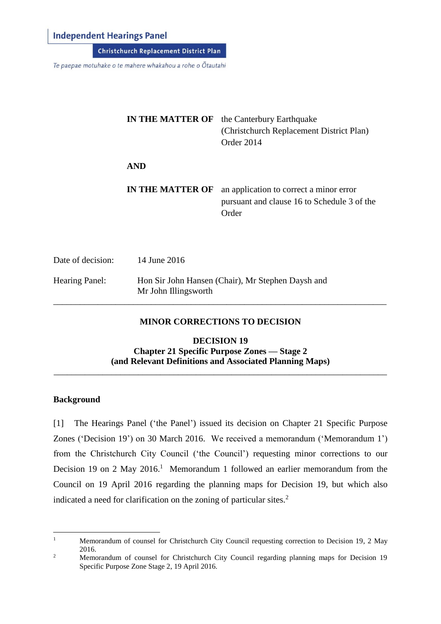## **Independent Hearings Panel**

Christchurch Replacement District Plan

Te paepae motuhake o te mahere whakahou a rohe o Ōtautahi

|                   | <b>IN THE MATTER OF</b> | the Canterbury Earthquake<br>(Christchurch Replacement District Plan)<br>Order 2014             |
|-------------------|-------------------------|-------------------------------------------------------------------------------------------------|
|                   | <b>AND</b>              |                                                                                                 |
|                   | <b>IN THE MATTER OF</b> | an application to correct a minor error<br>pursuant and clause 16 to Schedule 3 of the<br>Order |
| Date of decision: | 14 June 2016            |                                                                                                 |
| Hearing Panel:    | Mr John Illingsworth    | Hon Sir John Hansen (Chair), Mr Stephen Daysh and                                               |

### **MINOR CORRECTIONS TO DECISION**

\_\_\_\_\_\_\_\_\_\_\_\_\_\_\_\_\_\_\_\_\_\_\_\_\_\_\_\_\_\_\_\_\_\_\_\_\_\_\_\_\_\_\_\_\_\_\_\_\_\_\_\_\_\_\_\_\_\_\_\_\_\_\_\_\_\_\_\_\_\_\_\_\_\_\_

**DECISION 19 Chapter 21 Specific Purpose Zones — Stage 2 (and Relevant Definitions and Associated Planning Maps)**

\_\_\_\_\_\_\_\_\_\_\_\_\_\_\_\_\_\_\_\_\_\_\_\_\_\_\_\_\_\_\_\_\_\_\_\_\_\_\_\_\_\_\_\_\_\_\_\_\_\_\_\_\_\_\_\_\_\_\_\_\_\_\_\_\_\_\_\_\_\_\_\_\_\_\_

#### **Background**

[1] The Hearings Panel ('the Panel') issued its decision on Chapter 21 Specific Purpose Zones ('Decision 19') on 30 March 2016. We received a memorandum ('Memorandum 1') from the Christchurch City Council ('the Council') requesting minor corrections to our Decision 19 on 2 May 2016.<sup>1</sup> Memorandum 1 followed an earlier memorandum from the Council on 19 April 2016 regarding the planning maps for Decision 19, but which also indicated a need for clarification on the zoning of particular sites. 2

 $\,1\,$ <sup>1</sup> Memorandum of counsel for Christchurch City Council requesting correction to Decision 19, 2 May 2016.

<sup>&</sup>lt;sup>2</sup> Memorandum of counsel for Christchurch City Council regarding planning maps for Decision 19 Specific Purpose Zone Stage 2, 19 April 2016.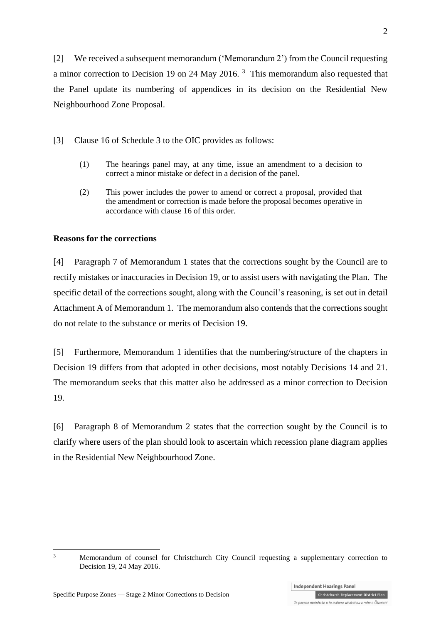[2] We received a subsequent memorandum ('Memorandum 2') from the Council requesting a minor correction to Decision 19 on 24 May 2016.  $3$  This memorandum also requested that the Panel update its numbering of appendices in its decision on the Residential New Neighbourhood Zone Proposal.

[3] Clause 16 of Schedule 3 to the OIC provides as follows:

- (1) The hearings panel may, at any time, issue an amendment to a decision to correct a minor mistake or defect in a decision of the panel.
- (2) This power includes the power to amend or correct a proposal, provided that the amendment or correction is made before the proposal becomes operative in accordance with [clause 16](http://www.legislation.govt.nz/regulation/public/2014/0228/latest/whole.html#DLM6189936) of this order.

### **Reasons for the corrections**

[4] Paragraph 7 of Memorandum 1 states that the corrections sought by the Council are to rectify mistakes or inaccuracies in Decision 19, or to assist users with navigating the Plan. The specific detail of the corrections sought, along with the Council's reasoning, is set out in detail Attachment A of Memorandum 1. The memorandum also contends that the corrections sought do not relate to the substance or merits of Decision 19.

[5] Furthermore, Memorandum 1 identifies that the numbering/structure of the chapters in Decision 19 differs from that adopted in other decisions, most notably Decisions 14 and 21. The memorandum seeks that this matter also be addressed as a minor correction to Decision 19.

[6] Paragraph 8 of Memorandum 2 states that the correction sought by the Council is to clarify where users of the plan should look to ascertain which recession plane diagram applies in the Residential New Neighbourhood Zone.

1

Te paepae motuhake o te mahere whakahou a rohe o Ōtautahi

<sup>&</sup>lt;sup>3</sup> Memorandum of counsel for Christchurch City Council requesting a supplementary correction to Decision 19, 24 May 2016.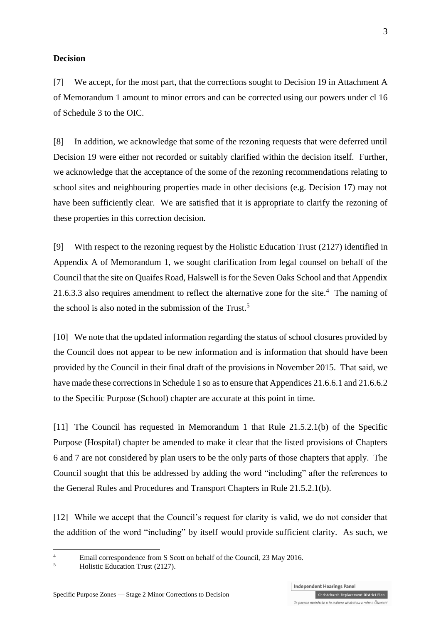#### **Decision**

[7] We accept, for the most part, that the corrections sought to Decision 19 in Attachment A of Memorandum 1 amount to minor errors and can be corrected using our powers under cl 16 of Schedule 3 to the OIC.

[8] In addition, we acknowledge that some of the rezoning requests that were deferred until Decision 19 were either not recorded or suitably clarified within the decision itself. Further, we acknowledge that the acceptance of the some of the rezoning recommendations relating to school sites and neighbouring properties made in other decisions (e.g. Decision 17) may not have been sufficiently clear. We are satisfied that it is appropriate to clarify the rezoning of these properties in this correction decision.

[9] With respect to the rezoning request by the Holistic Education Trust (2127) identified in Appendix A of Memorandum 1, we sought clarification from legal counsel on behalf of the Council that the site on Quaifes Road, Halswell is for the Seven Oaks School and that Appendix 21.6.3.3 also requires amendment to reflect the alternative zone for the site.<sup>4</sup> The naming of the school is also noted in the submission of the Trust.<sup>5</sup>

[10] We note that the updated information regarding the status of school closures provided by the Council does not appear to be new information and is information that should have been provided by the Council in their final draft of the provisions in November 2015. That said, we have made these corrections in Schedule 1 so as to ensure that Appendices 21.6.6.1 and 21.6.6.2 to the Specific Purpose (School) chapter are accurate at this point in time.

[11] The Council has requested in Memorandum 1 that Rule 21.5.2.1(b) of the Specific Purpose (Hospital) chapter be amended to make it clear that the listed provisions of Chapters 6 and 7 are not considered by plan users to be the only parts of those chapters that apply. The Council sought that this be addressed by adding the word "including" after the references to the General Rules and Procedures and Transport Chapters in Rule 21.5.2.1(b).

[12] While we accept that the Council's request for clarity is valid, we do not consider that the addition of the word "including" by itself would provide sufficient clarity. As such, we

1

<sup>&</sup>lt;sup>4</sup><br>Email correspondence from S Scott on behalf of the Council, 23 May 2016.

<sup>5</sup> Holistic Education Trust (2127).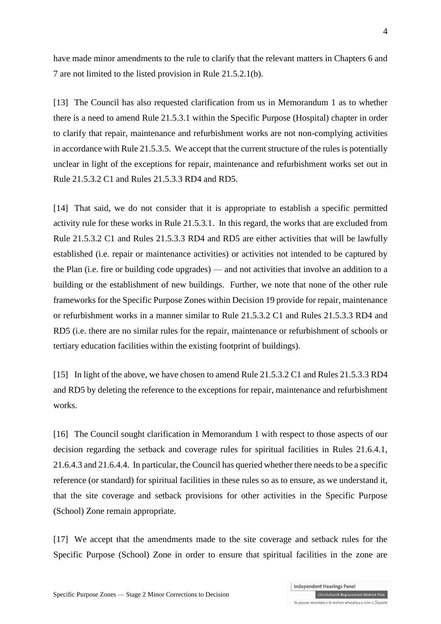have made minor amendments to the rule to clarify that the relevant matters in Chapters 6 and 7 are not limited to the listed provision in Rule 21.5.2.1(b).

[13] The Council has also requested clarification from us in Memorandum 1 as to whether there is a need to amend Rule 21.5.3.1 within the Specific Purpose (Hospital) chapter in order to clarify that repair, maintenance and refurbishment works are not non-complying activities in accordance with Rule 21.5.3.5. We accept that the current structure of the rules is potentially unclear in light of the exceptions for repair, maintenance and refurbishment works set out in Rule 21.5.3.2 C1 and Rules 21.5.3.3 RD4 and RD5.

[14] That said, we do not consider that it is appropriate to establish a specific permitted activity rule for these works in Rule 21.5.3.1. In this regard, the works that are excluded from Rule 21.5.3.2 C1 and Rules 21.5.3.3 RD4 and RD5 are either activities that will be lawfully established (i.e. repair or maintenance activities) or activities not intended to be captured by the Plan (i.e. fire or building code upgrades) — and not activities that involve an addition to a building or the establishment of new buildings. Further, we note that none of the other rule frameworks for the Specific Purpose Zones within Decision 19 provide for repair, maintenance or refurbishment works in a manner similar to Rule 21.5.3.2 C1 and Rules 21.5.3.3 RD4 and RD5 (i.e. there are no similar rules for the repair, maintenance or refurbishment of schools or tertiary education facilities within the existing footprint of buildings).

[15] In light of the above, we have chosen to amend Rule 21.5.3.2 C1 and Rules 21.5.3.3 RD4 and RD5 by deleting the reference to the exceptions for repair, maintenance and refurbishment works.

[16] The Council sought clarification in Memorandum 1 with respect to those aspects of our decision regarding the setback and coverage rules for spiritual facilities in Rules 21.6.4.1, 21.6.4.3 and 21.6.4.4. In particular, the Council has queried whether there needs to be a specific reference (or standard) for spiritual facilities in these rules so as to ensure, as we understand it, that the site coverage and setback provisions for other activities in the Specific Purpose (School) Zone remain appropriate.

[17] We accept that the amendments made to the site coverage and setback rules for the Specific Purpose (School) Zone in order to ensure that spiritual facilities in the zone are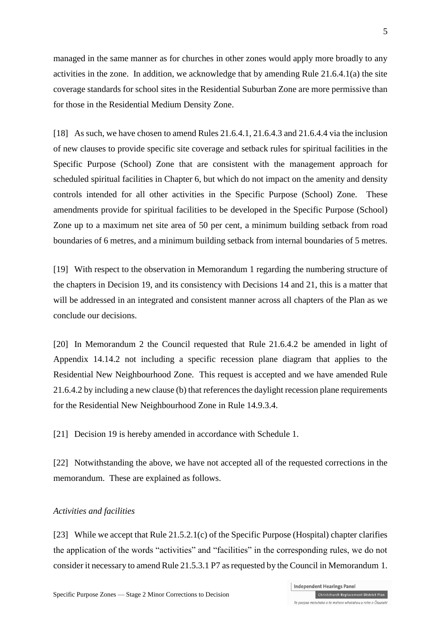managed in the same manner as for churches in other zones would apply more broadly to any activities in the zone. In addition, we acknowledge that by amending Rule 21.6.4.1(a) the site coverage standards for school sites in the Residential Suburban Zone are more permissive than for those in the Residential Medium Density Zone.

[18] As such, we have chosen to amend Rules 21.6.4.1, 21.6.4.3 and 21.6.4.4 via the inclusion of new clauses to provide specific site coverage and setback rules for spiritual facilities in the Specific Purpose (School) Zone that are consistent with the management approach for scheduled spiritual facilities in Chapter 6, but which do not impact on the amenity and density controls intended for all other activities in the Specific Purpose (School) Zone. These amendments provide for spiritual facilities to be developed in the Specific Purpose (School) Zone up to a maximum net site area of 50 per cent, a minimum building setback from road boundaries of 6 metres, and a minimum building setback from internal boundaries of 5 metres.

[19] With respect to the observation in Memorandum 1 regarding the numbering structure of the chapters in Decision 19, and its consistency with Decisions 14 and 21, this is a matter that will be addressed in an integrated and consistent manner across all chapters of the Plan as we conclude our decisions.

[20] In Memorandum 2 the Council requested that Rule 21.6.4.2 be amended in light of Appendix 14.14.2 not including a specific recession plane diagram that applies to the Residential New Neighbourhood Zone. This request is accepted and we have amended Rule 21.6.4.2 by including a new clause (b) that references the daylight recession plane requirements for the Residential New Neighbourhood Zone in Rule 14.9.3.4.

[21] Decision 19 is hereby amended in accordance with Schedule 1.

[22] Notwithstanding the above, we have not accepted all of the requested corrections in the memorandum. These are explained as follows.

#### *Activities and facilities*

[23] While we accept that Rule 21.5.2.1(c) of the Specific Purpose (Hospital) chapter clarifies the application of the words "activities" and "facilities" in the corresponding rules, we do not consider it necessary to amend Rule 21.5.3.1 P7 as requested by the Council in Memorandum 1.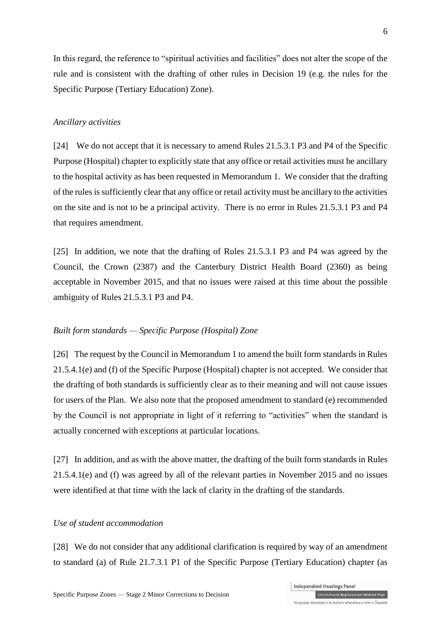In this regard, the reference to "spiritual activities and facilities" does not alter the scope of the rule and is consistent with the drafting of other rules in Decision 19 (e.g. the rules for the Specific Purpose (Tertiary Education) Zone).

#### *Ancillary activities*

[24] We do not accept that it is necessary to amend Rules 21.5.3.1 P3 and P4 of the Specific Purpose (Hospital) chapter to explicitly state that any office or retail activities must be ancillary to the hospital activity as has been requested in Memorandum 1. We consider that the drafting of the rules issufficiently clear that any office or retail activity must be ancillary to the activities on the site and is not to be a principal activity. There is no error in Rules 21.5.3.1 P3 and P4 that requires amendment.

[25] In addition, we note that the drafting of Rules 21.5.3.1 P3 and P4 was agreed by the Council, the Crown (2387) and the Canterbury District Health Board (2360) as being acceptable in November 2015, and that no issues were raised at this time about the possible ambiguity of Rules 21.5.3.1 P3 and P4.

#### *Built form standards — Specific Purpose (Hospital) Zone*

[26] The request by the Council in Memorandum 1 to amend the built form standards in Rules 21.5.4.1(e) and (f) of the Specific Purpose (Hospital) chapter is not accepted. We consider that the drafting of both standards is sufficiently clear as to their meaning and will not cause issues for users of the Plan. We also note that the proposed amendment to standard (e) recommended by the Council is not appropriate in light of it referring to "activities" when the standard is actually concerned with exceptions at particular locations.

[27] In addition, and as with the above matter, the drafting of the built form standards in Rules 21.5.4.1(e) and (f) was agreed by all of the relevant parties in November 2015 and no issues were identified at that time with the lack of clarity in the drafting of the standards.

#### *Use of student accommodation*

[28] We do not consider that any additional clarification is required by way of an amendment to standard (a) of Rule 21.7.3.1 P1 of the Specific Purpose (Tertiary Education) chapter (as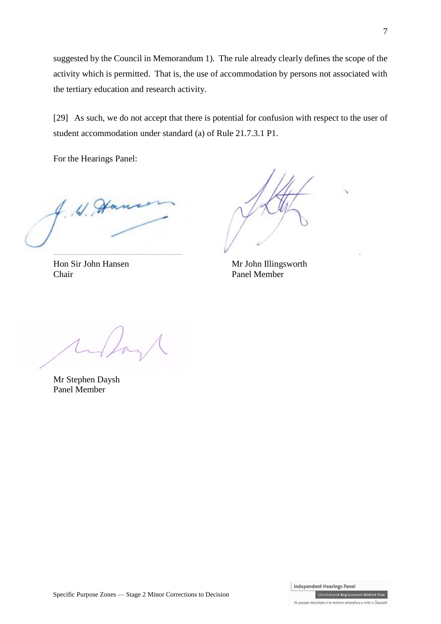suggested by the Council in Memorandum 1). The rule already clearly defines the scope of the activity which is permitted. That is, the use of accommodation by persons not associated with the tertiary education and research activity.

[29] As such, we do not accept that there is potential for confusion with respect to the user of student accommodation under standard (a) of Rule 21.7.3.1 P1.

For the Hearings Panel:

4. W. Han

Hon Sir John Hansen Mr John Illingsworth Chair Panel Member

 $\overline{\mathcal{L}}$  , and the contract of  $\overline{\mathcal{L}}$  , and  $\overline{\mathcal{L}}$  , and  $\overline{\mathcal{L}}$  , and  $\overline{\mathcal{L}}$ 

Mr Stephen Daysh Panel Member

Te paepae motuhake o te mahere whakahou a rohe o Ōtautahi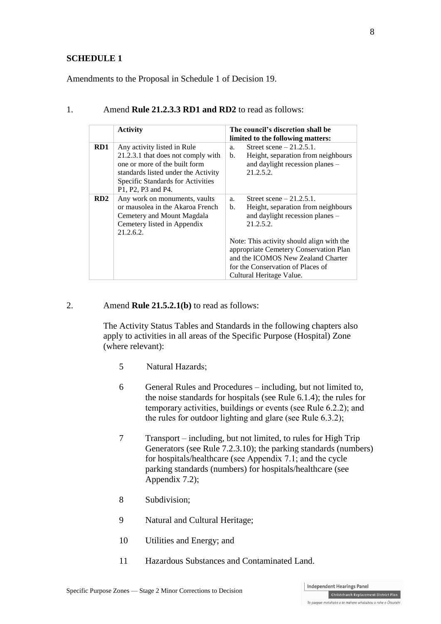#### **SCHEDULE 1**

Amendments to the Proposal in Schedule 1 of Decision 19.

|     | <b>Activity</b>                                                                                                                                                                                      | The council's discretion shall be<br>limited to the following matters:                                                                                                                                                                                                                                                                 |  |  |
|-----|------------------------------------------------------------------------------------------------------------------------------------------------------------------------------------------------------|----------------------------------------------------------------------------------------------------------------------------------------------------------------------------------------------------------------------------------------------------------------------------------------------------------------------------------------|--|--|
| RD1 | Any activity listed in Rule<br>21.2.3.1 that does not comply with<br>one or more of the built form<br>standards listed under the Activity<br>Specific Standards for Activities<br>P1, P2, P3 and P4. | Street scene $-21.2.5.1$ .<br>a.<br>Height, separation from neighbours<br>$\mathbf{b}$ .<br>and daylight recession planes -<br>21.2.5.2.                                                                                                                                                                                               |  |  |
| RD2 | Any work on monuments, vaults<br>or mausolea in the Akaroa French<br>Cemetery and Mount Magdala<br>Cemetery listed in Appendix<br>21.2.6.2.                                                          | Street scene $-21.2.5.1$ .<br>a.<br>Height, separation from neighbours<br>$\mathbf{b}$ .<br>and daylight recession planes -<br>21.2.5.2.<br>Note: This activity should align with the<br>appropriate Cemetery Conservation Plan<br>and the ICOMOS New Zealand Charter<br>for the Conservation of Places of<br>Cultural Heritage Value. |  |  |

## 1. Amend **Rule 21.2.3.3 RD1 and RD2** to read as follows:

#### 2. Amend **Rule 21.5.2.1(b)** to read as follows:

The Activity Status Tables and Standards in the following chapters also apply to activities in all areas of the Specific Purpose (Hospital) Zone (where relevant):

- 5 Natural Hazards;
- 6 General Rules and Procedures including, but not limited to, the noise standards for hospitals (see Rule 6.1.4); the rules for temporary activities, buildings or events (see Rule 6.2.2); and the rules for outdoor lighting and glare (see Rule 6.3.2);
- 7 Transport including, but not limited, to rules for High Trip Generators (see Rule 7.2.3.10); the parking standards (numbers) for hospitals/healthcare (see Appendix 7.1; and the cycle parking standards (numbers) for hospitals/healthcare (see Appendix 7.2);
- 8 Subdivision;
- 9 Natural and Cultural Heritage;
- 10 Utilities and Energy; and
- 11 Hazardous Substances and Contaminated Land.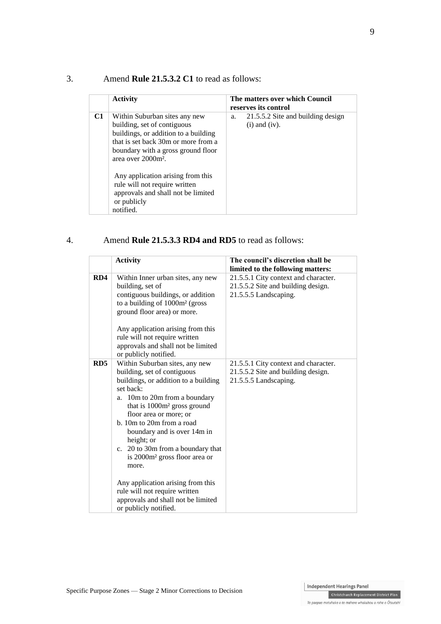## 3. Amend **Rule 21.5.3.2 C1** to read as follows:

|                | <b>Activity</b>                                                                                                                                                                                                                                                                                                                                             | reserves its control     | The matters over which Council    |
|----------------|-------------------------------------------------------------------------------------------------------------------------------------------------------------------------------------------------------------------------------------------------------------------------------------------------------------------------------------------------------------|--------------------------|-----------------------------------|
| C <sub>1</sub> | Within Suburban sites any new<br>building, set of contiguous<br>buildings, or addition to a building<br>that is set back 30m or more from a<br>boundary with a gross ground floor<br>area over 2000m <sup>2</sup> .<br>Any application arising from this<br>rule will not require written<br>approvals and shall not be limited<br>or publicly<br>notified. | a.<br>$(i)$ and $(iv)$ . | 21.5.5.2 Site and building design |

### 4. Amend **Rule 21.5.3.3 RD4 and RD5** to read as follows:

|     | <b>Activity</b>                                                                                                                                                                                                                                                                                                                                                                                                                                                                                                                    | The council's discretion shall be                                                                   |
|-----|------------------------------------------------------------------------------------------------------------------------------------------------------------------------------------------------------------------------------------------------------------------------------------------------------------------------------------------------------------------------------------------------------------------------------------------------------------------------------------------------------------------------------------|-----------------------------------------------------------------------------------------------------|
|     |                                                                                                                                                                                                                                                                                                                                                                                                                                                                                                                                    | limited to the following matters:                                                                   |
| RD4 | Within Inner urban sites, any new<br>building, set of<br>contiguous buildings, or addition<br>to a building of 1000m <sup>2</sup> (gross<br>ground floor area) or more.<br>Any application arising from this<br>rule will not require written<br>approvals and shall not be limited<br>or publicly notified.                                                                                                                                                                                                                       | 21.5.5.1 City context and character.<br>21.5.5.2 Site and building design.<br>21.5.5.5 Landscaping. |
| RD5 | Within Suburban sites, any new<br>building, set of contiguous<br>buildings, or addition to a building<br>set back:<br>a. 10m to 20m from a boundary<br>that is 1000m <sup>2</sup> gross ground<br>floor area or more; or<br>b. 10m to 20m from a road<br>boundary and is over 14m in<br>height; or<br>c. 20 to 30m from a boundary that<br>is 2000m <sup>2</sup> gross floor area or<br>more.<br>Any application arising from this<br>rule will not require written<br>approvals and shall not be limited<br>or publicly notified. | 21.5.5.1 City context and character.<br>21.5.5.2 Site and building design.<br>21.5.5.5 Landscaping. |

Te paepae motuhake o te mahere whakahou a rohe o Ōtautahi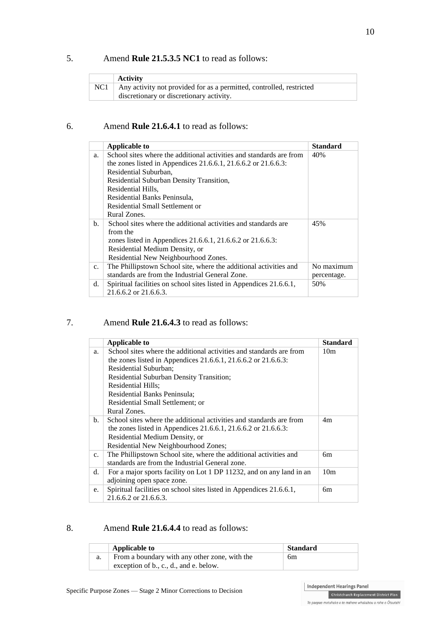## 5. Amend **Rule 21.5.3.5 NC1** to read as follows:

| <b>Activity</b>                                                      |
|----------------------------------------------------------------------|
| Any activity not provided for as a permitted, controlled, restricted |
| discretionary or discretionary activity.                             |

### 6. Amend **Rule 21.6.4.1** to read as follows:

|                | Applicable to                                                                                                                                                  | <b>Standard</b>           |
|----------------|----------------------------------------------------------------------------------------------------------------------------------------------------------------|---------------------------|
| a.             | School sites where the additional activities and standards are from<br>the zones listed in Appendices 21.6.6.1, 21.6.6.2 or 21.6.6.3:<br>Residential Suburban, | 40%                       |
|                | Residential Suburban Density Transition,<br>Residential Hills,                                                                                                 |                           |
|                | Residential Banks Peninsula,<br>Residential Small Settlement or                                                                                                |                           |
|                | Rural Zones.                                                                                                                                                   |                           |
| $\mathbf{b}$ . | School sites where the additional activities and standards are<br>from the                                                                                     | 45%                       |
|                | zones listed in Appendices 21.6.6.1, 21.6.6.2 or 21.6.6.3:<br>Residential Medium Density, or<br>Residential New Neighbourhood Zones.                           |                           |
| $C_{\star}$    | The Phillipstown School site, where the additional activities and<br>standards are from the Industrial General Zone.                                           | No maximum<br>percentage. |
| d.             | Spiritual facilities on school sites listed in Appendices 21.6.6.1,<br>$21.6.6.2$ or $21.6.6.3$ .                                                              | 50%                       |

## 7. Amend **Rule 21.6.4.3** to read as follows:

|             | Applicable to                                                        | Standard        |
|-------------|----------------------------------------------------------------------|-----------------|
| a.          | School sites where the additional activities and standards are from  | 10 <sub>m</sub> |
|             | the zones listed in Appendices 21.6.6.1, 21.6.6.2 or 21.6.6.3:       |                 |
|             | Residential Suburban;                                                |                 |
|             | Residential Suburban Density Transition;                             |                 |
|             | Residential Hills;                                                   |                 |
|             | Residential Banks Peninsula;                                         |                 |
|             | Residential Small Settlement; or                                     |                 |
|             | Rural Zones.                                                         |                 |
| b.          | School sites where the additional activities and standards are from  | 4m              |
|             | the zones listed in Appendices 21.6.6.1, 21.6.6.2 or 21.6.6.3:       |                 |
|             | Residential Medium Density, or                                       |                 |
|             | Residential New Neighbourhood Zones;                                 |                 |
| $c_{\cdot}$ | The Phillipstown School site, where the additional activities and    | 6m              |
|             | standards are from the Industrial General zone.                      |                 |
| d.          | For a major sports facility on Lot 1 DP 11232, and on any land in an | 10 <sub>m</sub> |
|             | adjoining open space zone.                                           |                 |
| e.          | Spiritual facilities on school sites listed in Appendices 21.6.6.1,  | 6m              |
|             | $21.6.6.2$ or $21.6.6.3$ .                                           |                 |

#### 8. Amend **Rule 21.6.4.4** to read as follows:

| <b>Applicable to</b>                          | <b>Standard</b> |
|-----------------------------------------------|-----------------|
| From a boundary with any other zone, with the | 6m              |
| exception of b., c., d., and e. below.        |                 |

Independent Hearings Panel Christchurch Replacement District Plan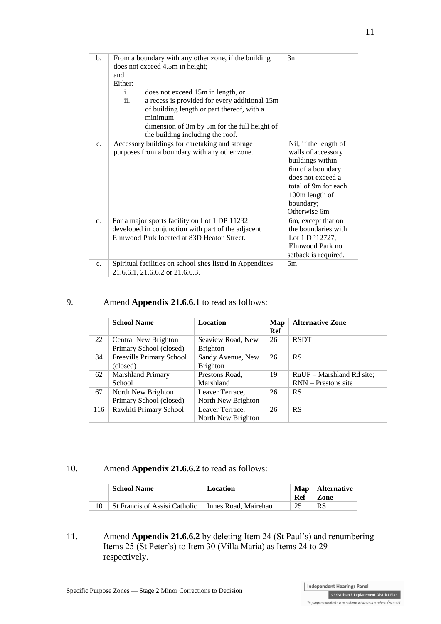| $b$ . | From a boundary with any other zone, if the building<br>does not exceed 4.5m in height;<br>and<br>Either:<br>does not exceed 15m in length, or<br>i.<br>ii.<br>a recess is provided for every additional 15m<br>of building length or part thereof, with a<br>minimum<br>dimension of 3m by 3m for the full height of<br>the building including the roof. | 3m                                                                                                                                                                               |
|-------|-----------------------------------------------------------------------------------------------------------------------------------------------------------------------------------------------------------------------------------------------------------------------------------------------------------------------------------------------------------|----------------------------------------------------------------------------------------------------------------------------------------------------------------------------------|
| c.    | Accessory buildings for caretaking and storage<br>purposes from a boundary with any other zone.                                                                                                                                                                                                                                                           | Nil, if the length of<br>walls of accessory<br>buildings within<br>6m of a boundary<br>does not exceed a<br>total of 9m for each<br>100m length of<br>boundary;<br>Otherwise 6m. |
| d.    | For a major sports facility on Lot 1 DP 11232<br>developed in conjunction with part of the adjacent<br>Elmwood Park located at 83D Heaton Street.                                                                                                                                                                                                         | 6m, except that on<br>the boundaries with<br>Lot 1 DP12727,<br>Elmwood Park no<br>setback is required.                                                                           |
| e.    | Spiritual facilities on school sites listed in Appendices<br>21.6.6.1, 21.6.6.2 or 21.6.6.3.                                                                                                                                                                                                                                                              | 5m                                                                                                                                                                               |

## 9. Amend **Appendix 21.6.6.1** to read as follows:

|     | <b>School Name</b>                              | <b>Location</b>                       | Map<br>Ref | <b>Alternative Zone</b>                            |
|-----|-------------------------------------------------|---------------------------------------|------------|----------------------------------------------------|
| 22  | Central New Brighton<br>Primary School (closed) | Seaview Road, New<br><b>Brighton</b>  | 26         | <b>RSDT</b>                                        |
| 34  | Freeville Primary School<br>(closed)            | Sandy Avenue, New<br><b>Brighton</b>  | 26         | <b>RS</b>                                          |
| 62  | Marshland Primary<br>School                     | Prestons Road,<br>Marshland           | 19         | RuUF – Marshland Rd site;<br>$RNN -$ Prestons site |
| 67  | North New Brighton<br>Primary School (closed)   | Leaver Terrace,<br>North New Brighton | 26         | <b>RS</b>                                          |
| 116 | Rawhiti Primary School                          | Leaver Terrace,<br>North New Brighton | 26         | <b>RS</b>                                          |

### 10. Amend **Appendix 21.6.6.2** to read as follows:

| <b>School Name</b>            | <b>Location</b>      | Ref | $\mathbf{Map} \mid \mathbf{Alternative}$<br>Zone |
|-------------------------------|----------------------|-----|--------------------------------------------------|
| St Francis of Assisi Catholic | Innes Road, Mairehau | 25  | <b>RS</b>                                        |

11. Amend **Appendix 21.6.6.2** by deleting Item 24 (St Paul's) and renumbering Items 25 (St Peter's) to Item 30 (Villa Maria) as Items 24 to 29 respectively.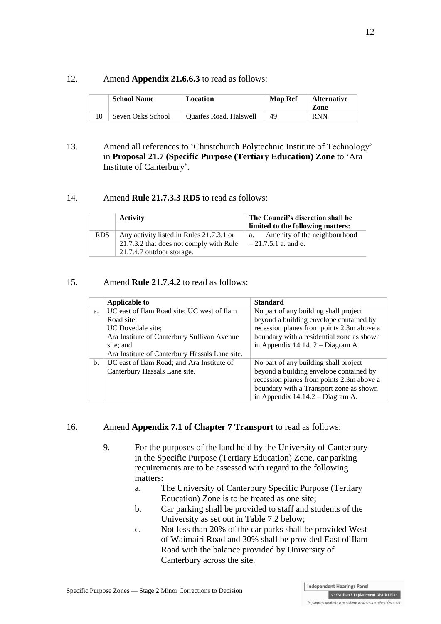#### 12. Amend **Appendix 21.6.6.3** to read as follows:

| <b>School Name</b> | Location                      | <b>Map Ref</b> | <b>Alternative</b><br>Zone |
|--------------------|-------------------------------|----------------|----------------------------|
| Seven Oaks School  | <b>Ouaifes Road, Halswell</b> | 49             | <b>RNN</b>                 |

13. Amend all references to 'Christchurch Polytechnic Institute of Technology' in **Proposal 21.7 (Specific Purpose (Tertiary Education) Zone** to 'Ara Institute of Canterbury'.

### 14. Amend **Rule 21.7.3.3 RD5** to read as follows:

|                 | <b>Activity</b>                                                      | The Council's discretion shall be<br>limited to the following matters: |
|-----------------|----------------------------------------------------------------------|------------------------------------------------------------------------|
| RD <sub>5</sub> | Any activity listed in Rules 21.7.3.1 or                             | Amenity of the neighbourhood<br>a.                                     |
|                 | 21.7.3.2 that does not comply with Rule<br>21.7.4.7 outdoor storage. | $-21.7.5.1$ a. and e.                                                  |

#### 15. Amend **Rule 21.7.4.2** to read as follows:

|    | Applicable to                                  | <b>Standard</b>                           |
|----|------------------------------------------------|-------------------------------------------|
| a. | UC east of Ilam Road site; UC west of Ilam     | No part of any building shall project     |
|    | Road site:                                     | beyond a building envelope contained by   |
|    | UC Dovedale site;                              | recession planes from points 2.3m above a |
|    | Ara Institute of Canterbury Sullivan Avenue    | boundary with a residential zone as shown |
|    | site; and                                      | in Appendix 14.14. $2 - Diagram A$ .      |
|    | Ara Institute of Canterbury Hassals Lane site. |                                           |
| b. | UC east of Ilam Road; and Ara Institute of     | No part of any building shall project     |
|    | Canterbury Hassals Lane site.                  | beyond a building envelope contained by   |
|    |                                                | recession planes from points 2.3m above a |
|    |                                                | boundary with a Transport zone as shown   |
|    |                                                | in Appendix $14.14.2 - Diagram A$ .       |

#### 16. Amend **Appendix 7.1 of Chapter 7 Transport** to read as follows:

- 9. For the purposes of the land held by the University of Canterbury in the Specific Purpose (Tertiary Education) Zone, car parking requirements are to be assessed with regard to the following matters:
	- a. The University of Canterbury Specific Purpose (Tertiary Education) Zone is to be treated as one site;
	- b. Car parking shall be provided to staff and students of the University as set out in Table 7.2 below;
	- c. Not less than 20% of the car parks shall be provided West of Waimairi Road and 30% shall be provided East of Ilam Road with the balance provided by University of Canterbury across the site.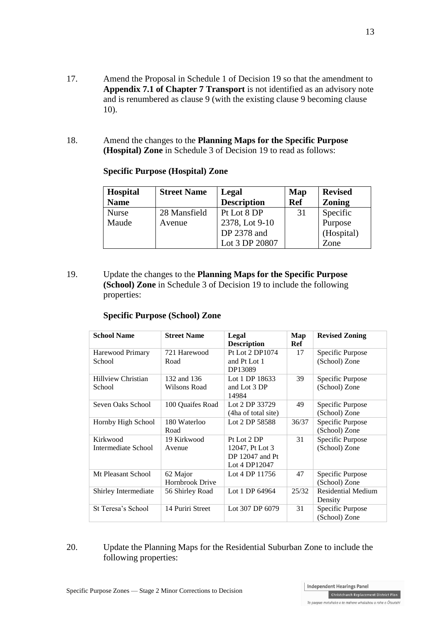- 17. Amend the Proposal in Schedule 1 of Decision 19 so that the amendment to **Appendix 7.1 of Chapter 7 Transport** is not identified as an advisory note and is renumbered as clause 9 (with the existing clause 9 becoming clause 10).
- 18. Amend the changes to the **Planning Maps for the Specific Purpose (Hospital) Zone** in Schedule 3 of Decision 19 to read as follows:

| <b>Hospital</b><br><b>Name</b> | <b>Street Name</b><br>Legal<br><b>Description</b> |                | Map<br><b>Ref</b> | <b>Revised</b><br><b>Zoning</b> |  |
|--------------------------------|---------------------------------------------------|----------------|-------------------|---------------------------------|--|
|                                |                                                   |                |                   |                                 |  |
| <b>Nurse</b>                   | 28 Mansfield                                      | Pt Lot 8 DP    | 31                | Specific                        |  |
| Maude                          | Avenue                                            | 2378, Lot 9-10 |                   | Purpose                         |  |
|                                |                                                   | DP 2378 and    |                   | (Hospital)                      |  |
|                                |                                                   | Lot 3 DP 20807 |                   | Zone                            |  |

#### **Specific Purpose (Hospital) Zone**

19. Update the changes to the **Planning Maps for the Specific Purpose (School) Zone** in Schedule 3 of Decision 19 to include the following properties:

### **Specific Purpose (School) Zone**

| <b>School Name</b>                  | <b>Street Name</b>          | Legal<br><b>Description</b>                                        | Map<br>Ref | <b>Revised Zoning</b>                |
|-------------------------------------|-----------------------------|--------------------------------------------------------------------|------------|--------------------------------------|
| Harewood Primary<br>School          | 721 Harewood<br>Road        | Pt Lot 2 DP1074<br>and Pt Lot 1<br>DP13089                         | 17         | Specific Purpose<br>(School) Zone    |
| <b>Hillview Christian</b><br>School | 132 and 136<br>Wilsons Road | Lot 1 DP 18633<br>and Lot 3 DP<br>14984                            | 39         | Specific Purpose<br>(School) Zone    |
| Seven Oaks School                   | 100 Quaifes Road            | Lot 2 DP 33729<br>(4ha of total site)                              | 49         | Specific Purpose<br>(School) Zone    |
| Hornby High School                  | 180 Waterloo<br>Road        | Lot 2 DP 58588                                                     | 36/37      | Specific Purpose<br>(School) Zone    |
| Kirkwood<br>Intermediate School     | 19 Kirkwood<br>Avenue       | Pt Lot 2 DP<br>12047, Pt Lot 3<br>DP 12047 and Pt<br>Lot 4 DP12047 | 31         | Specific Purpose<br>(School) Zone    |
| Mt Pleasant School                  | 62 Major<br>Hornbrook Drive | Lot 4 DP 11756                                                     | 47         | Specific Purpose<br>(School) Zone    |
| Shirley Intermediate                | 56 Shirley Road             | Lot 1 DP 64964                                                     | 25/32      | <b>Residential Medium</b><br>Density |
| St Teresa's School                  | 14 Puriri Street            | Lot 307 DP 6079                                                    | 31         | Specific Purpose<br>(School) Zone    |

## 20. Update the Planning Maps for the Residential Suburban Zone to include the following properties: